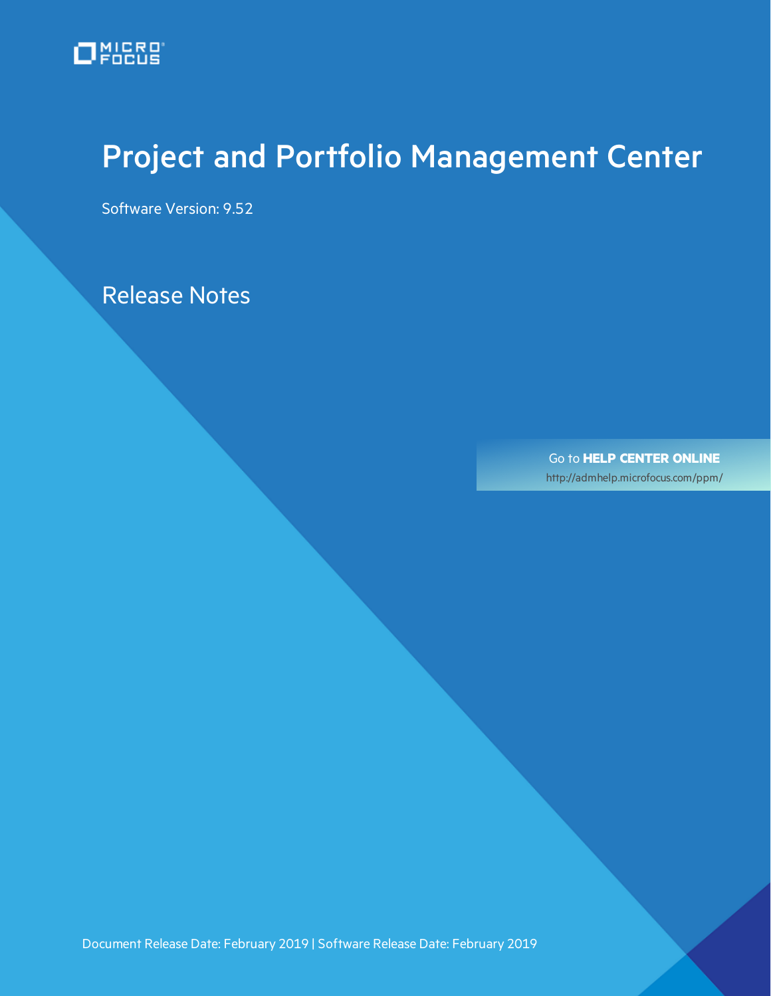# <span id="page-0-0"></span>Project and Portfolio Management Center

Software Version: 9.52

Release Notes

Go to **HELP CENTER ONLINE** <http://admhelp.microfocus.com/ppm/>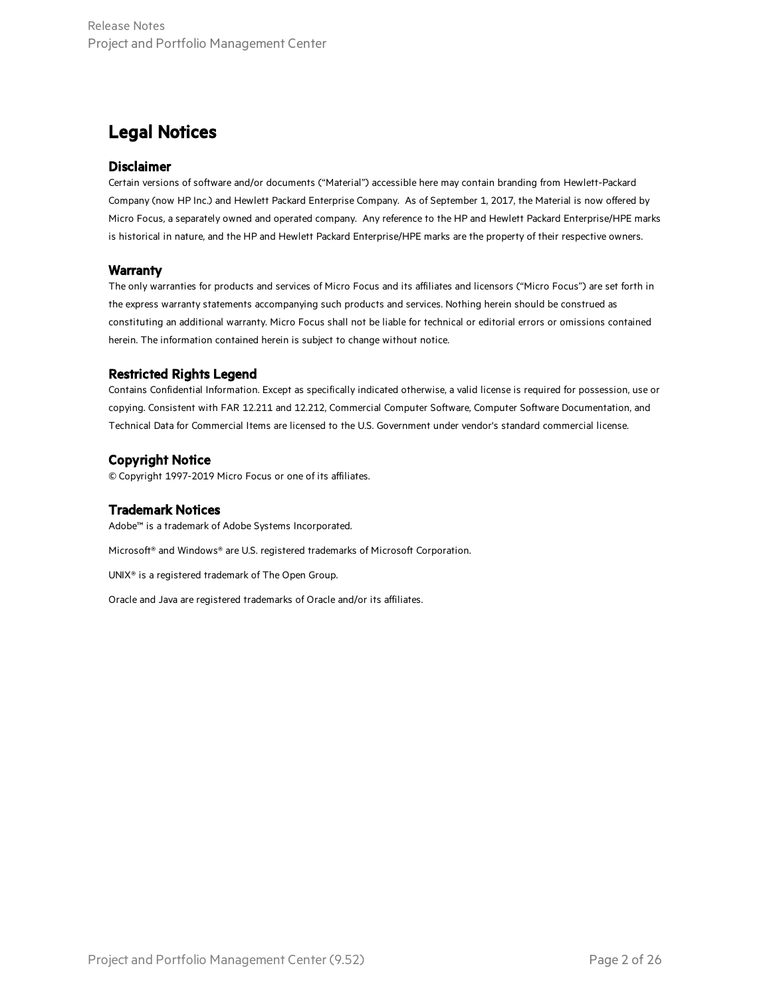### Legal Notices

#### Disclaimer

Certain versions of software and/or documents ("Material") accessible here may contain branding from Hewlett-Packard Company (now HP Inc.) and Hewlett Packard Enterprise Company. As of September 1, 2017, the Material is now offered by Micro Focus, a separately owned and operated company. Any reference to the HP and Hewlett Packard Enterprise/HPE marks is historical in nature, and the HP and Hewlett Packard Enterprise/HPE marks are the property of their respective owners.

#### **Warranty**

The only warranties for products and services of Micro Focus and its affiliates and licensors ("Micro Focus") are set forth in the express warranty statements accompanying such products and services. Nothing herein should be construed as constituting an additional warranty. Micro Focus shall not be liable for technical or editorial errors or omissions contained herein. The information contained herein is subject to change without notice.

#### Restricted Rights Legend

Contains Confidential Information. Except as specifically indicated otherwise, a valid license is required for possession, use or copying. Consistent with FAR 12.211 and 12.212, Commercial Computer Software, Computer Software Documentation, and Technical Data for Commercial Items are licensed to the U.S. Government under vendor's standard commercial license.

#### Copyright Notice

© Copyright 1997-2019 Micro Focus or one of its affiliates.

#### Trademark Notices

Adobe™ is a trademark of Adobe Systems Incorporated.

Microsoft® and Windows® are U.S. registered trademarks of Microsoft Corporation.

UNIX® is a registered trademark of The Open Group.

Oracle and Java are registered trademarks of Oracle and/or its affiliates.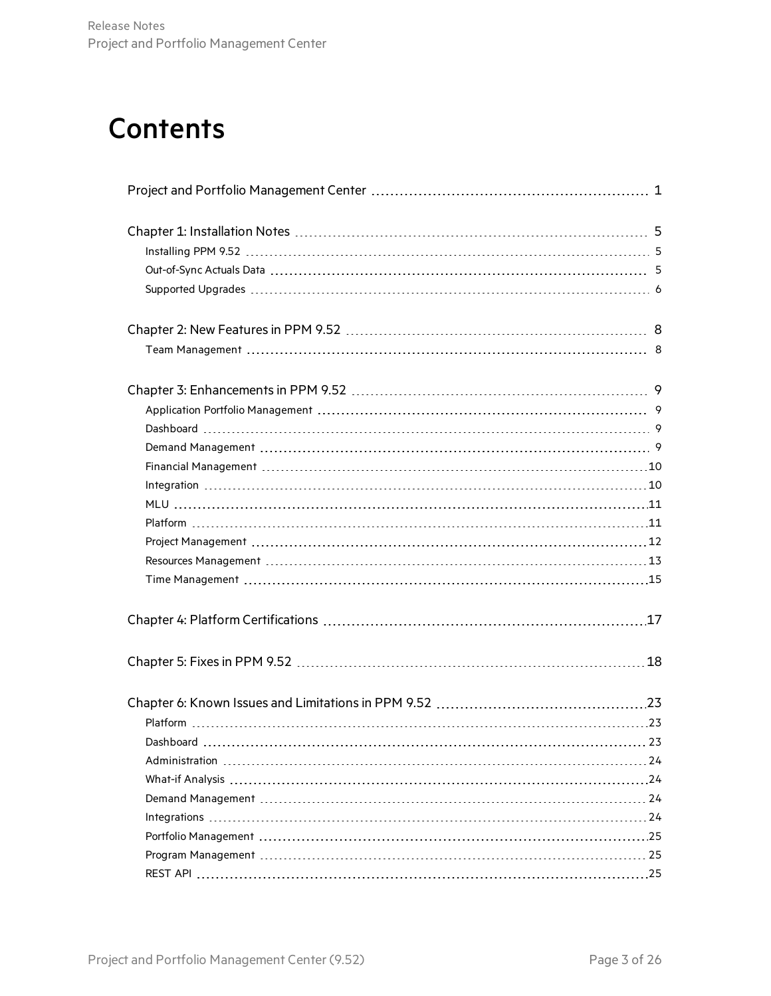## **Contents**

| Dashboard | 23 |
|-----------|----|
|           |    |
|           |    |
|           |    |
|           |    |
|           |    |
|           |    |
|           |    |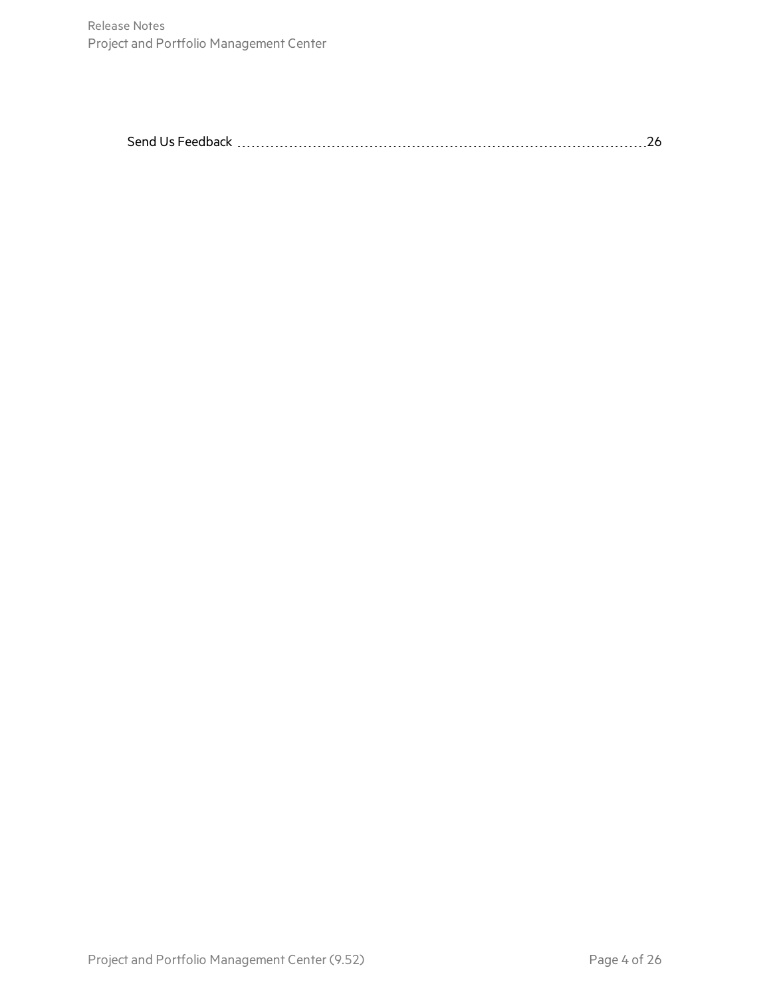|--|--|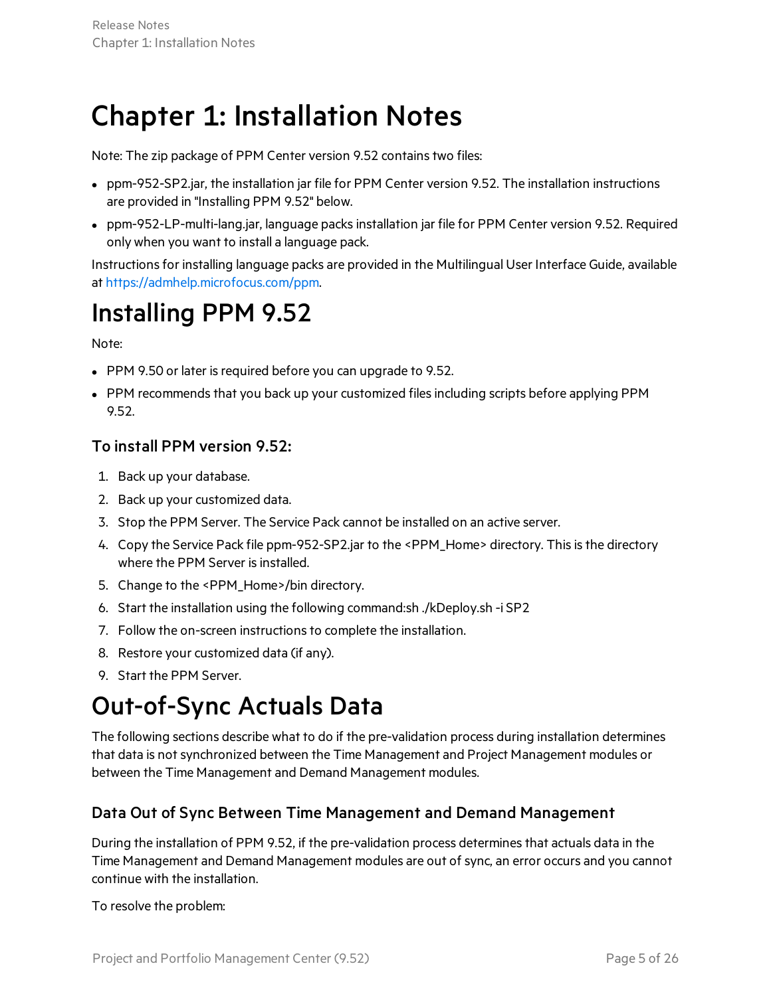## <span id="page-4-0"></span>Chapter 1: Installation Notes

Note: The zip package of PPM Center version 9.52 contains two files:

- ppm-952-SP2.jar, the installation jar file for PPM Center version 9.52. The installation instructions are provided in "Installing PPM 9.52" below.
- ppm-952-LP-multi-lang.jar, language packs installation jar file for PPM Center version 9.52. Required only when you want to install a language pack.

Instructionsfor installing language packs are provided in the Multilingual User Interface Guide, available at [https://admhelp.microfocus.com/ppm.](https://admhelp.microfocus.com/ppm)

## <span id="page-4-1"></span>Installing PPM 9.52

Note:

- PPM 9.50 or later is required before you can upgrade to 9.52.
- PPM recommends that you back up your customized files including scripts before applying PPM 9.52.

#### To install PPM version 9.52:

- 1. Back up your database.
- 2. Back up your customized data.
- 3. Stop the PPM Server. The Service Pack cannot be installed on an active server.
- 4. Copy the Service Pack file ppm-952-SP2.jar to the <PPM\_Home> directory. Thisisthe directory where the PPM Server is installed.
- 5. Change to the <PPM\_Home>/bin directory.
- 6. Start the installation using the following command:sh ./kDeploy.sh -i SP2
- 7. Follow the on-screen instructions to complete the installation.
- 8. Restore your customized data (if any).
- <span id="page-4-2"></span>9. Start the PPM Server.

### Out-of-Sync Actuals Data

The following sections describe what to do if the pre-validation process during installation determines that data is notsynchronized between the Time Management and Project Management modules or between the Time Management and Demand Management modules.

### Data Out of Sync Between Time Management and Demand Management

During the installation of PPM 9.52, if the pre-validation process determines that actuals data in the Time Management and Demand Management modules are out of sync, an error occurs and you cannot continue with the installation.

To resolve the problem: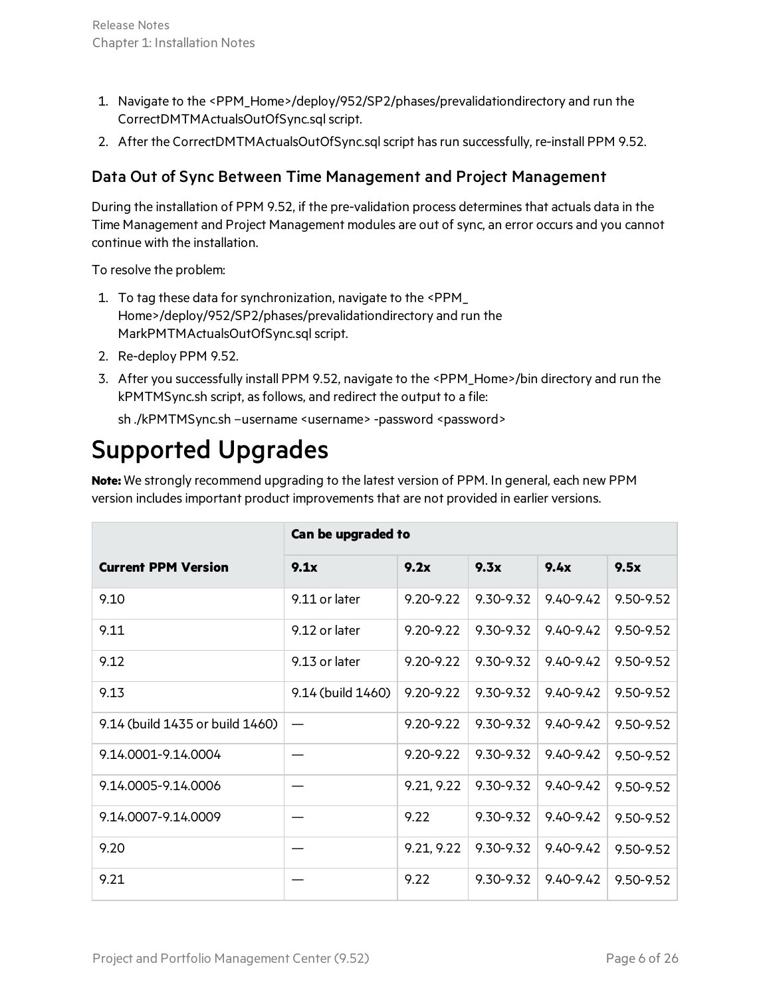- 1. Navigate to the <PPM\_Home>/deploy/952/SP2/phases/prevalidationdirectory and run the CorrectDMTMActualsOutOfSync.sql script.
- 2. After the CorrectDMTMActualsOutOfSync.sqlscript hasrun successfully, re-install PPM 9.52.

### Data Out of Sync Between Time Management and Project Management

During the installation of PPM 9.52, if the pre-validation process determines that actuals data in the Time Management and Project Management modules are out of sync, an error occurs and you cannot continue with the installation.

To resolve the problem:

- 1. To tag these data for synchronization, navigate to the <PPM\_ Home>/deploy/952/SP2/phases/prevalidationdirectory and run the MarkPMTMActualsOutOfSync.sql script.
- 2. Re-deploy PPM 9.52.
- 3. After you successfully install PPM 9.52, navigate to the <PPM\_Home>/bin directory and run the kPMTMSync.sh script, asfollows, and redirect the output to a file:

sh./kPMTMSync.sh -username <username> -password <password>

### <span id="page-5-0"></span>Supported Upgrades

**Note:** We strongly recommend upgrading to the latest version of PPM. In general, each new PPM version includes important product improvements that are not provided in earlier versions.

|                                 | Can be upgraded to |               |           |               |           |
|---------------------------------|--------------------|---------------|-----------|---------------|-----------|
| <b>Current PPM Version</b>      | 9.1x               | 9.2x          | 9.3x      | 9.4x          | 9.5x      |
| 9.10                            | 9.11 or later      | $9.20 - 9.22$ | 9.30-9.32 | $9.40 - 9.42$ | 9.50-9.52 |
| 9.11                            | 9.12 or later      | 9.20-9.22     | 9.30-9.32 | $9.40 - 9.42$ | 9.50-9.52 |
| 9.12                            | 9.13 or later      | 9.20-9.22     | 9.30-9.32 | $9.40 - 9.42$ | 9.50-9.52 |
| 9.13                            | 9.14 (build 1460)  | $9.20 - 9.22$ | 9.30-9.32 | $9.40 - 9.42$ | 9.50-9.52 |
| 9.14 (build 1435 or build 1460) | -                  | $9.20 - 9.22$ | 9.30-9.32 | $9.40 - 9.42$ | 9.50-9.52 |
| 9.14.0001-9.14.0004             |                    | $9.20 - 9.22$ | 9.30-9.32 | $9.40 - 9.42$ | 9.50-9.52 |
| 9.14.0005-9.14.0006             |                    | 9.21, 9.22    | 9.30-9.32 | $9.40 - 9.42$ | 9.50-9.52 |
| 9.14.0007-9.14.0009             |                    | 9.22          | 9.30-9.32 | $9.40 - 9.42$ | 9.50-9.52 |
| 9.20                            |                    | 9.21, 9.22    | 9.30-9.32 | $9.40 - 9.42$ | 9.50-9.52 |
| 9.21                            |                    | 9.22          | 9.30-9.32 | $9.40 - 9.42$ | 9.50-9.52 |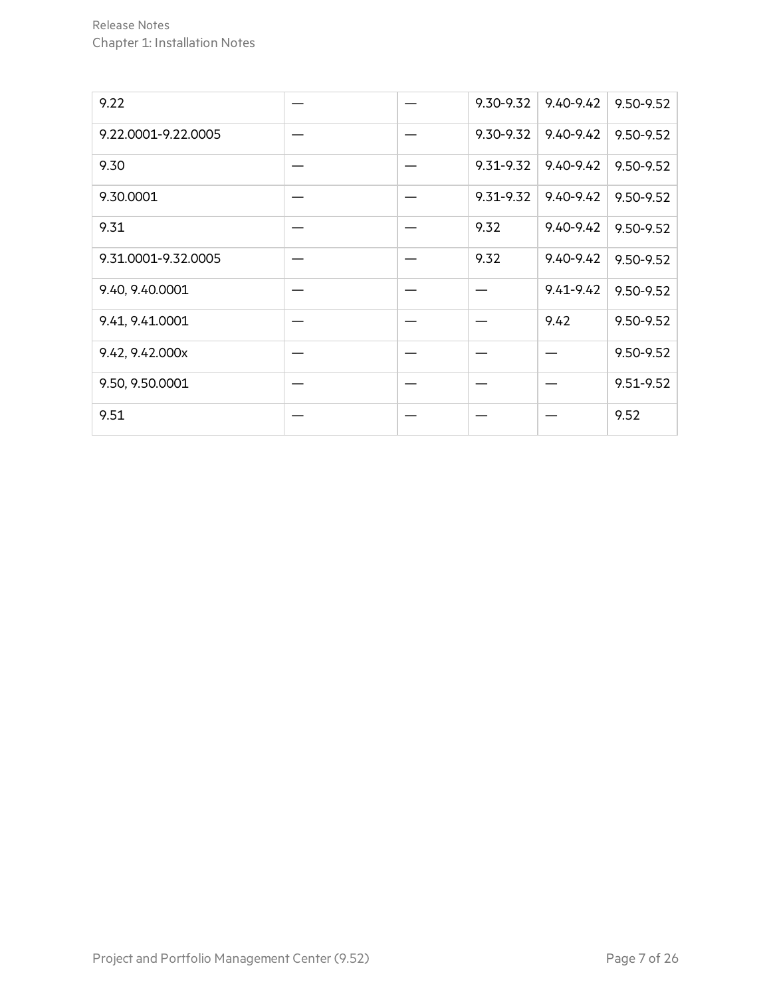| 9.22                |  | 9.30-9.32     | 9.40-9.42     | 9.50-9.52 |
|---------------------|--|---------------|---------------|-----------|
| 9.22.0001-9.22.0005 |  | 9.30-9.32     | 9.40-9.42     | 9.50-9.52 |
| 9.30                |  | $9.31 - 9.32$ | $9.40 - 9.42$ | 9.50-9.52 |
| 9.30.0001           |  | $9.31 - 9.32$ | 9.40-9.42     | 9.50-9.52 |
| 9.31                |  | 9.32          | 9.40-9.42     | 9.50-9.52 |
| 9.31.0001-9.32.0005 |  | 9.32          | 9.40-9.42     | 9.50-9.52 |
| 9.40, 9.40.0001     |  |               | 9.41-9.42     | 9.50-9.52 |
| 9.41, 9.41.0001     |  |               | 9.42          | 9.50-9.52 |
| 9.42, 9.42.000x     |  |               |               | 9.50-9.52 |
| 9.50, 9.50.0001     |  |               |               | 9.51-9.52 |
| 9.51                |  |               |               | 9.52      |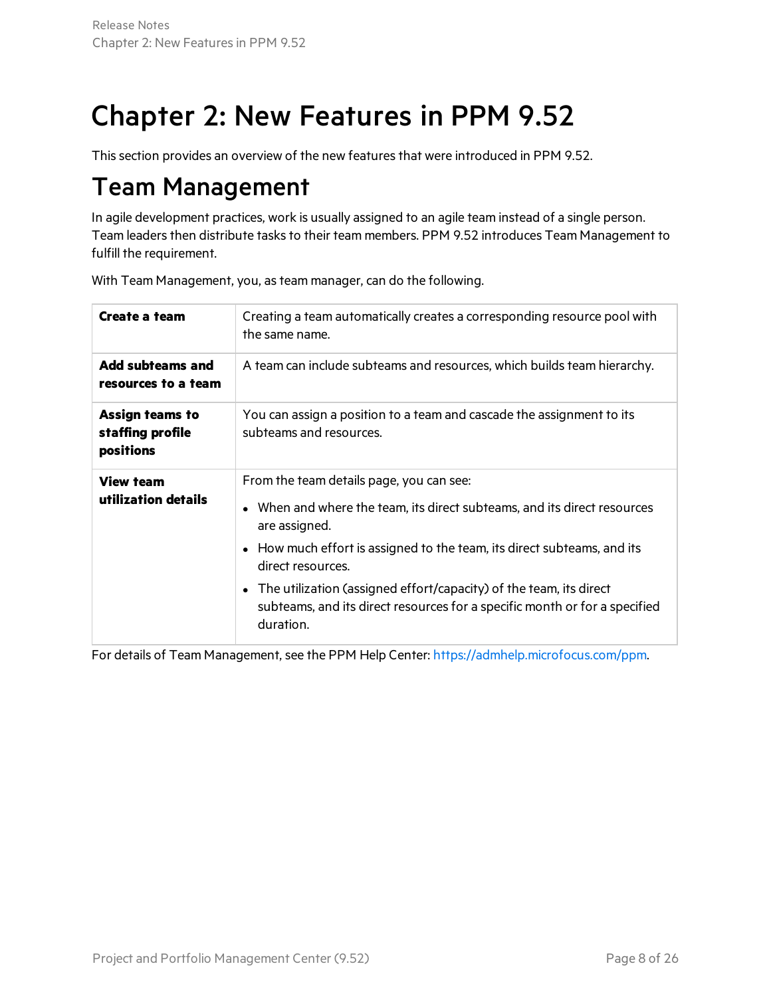# <span id="page-7-0"></span>Chapter 2: New Features in PPM 9.52

<span id="page-7-1"></span>This section provides an overview of the new features that were introduced in PPM 9.52.

### Team Management

In agile development practices, work is usually assigned to an agile team instead of a single person. Team leaders then distribute tasks to their team members. PPM 9.52 introduces Team Management to fulfill the requirement.

| Create a team                                           | Creating a team automatically creates a corresponding resource pool with<br>the same name.                                                                                                                                                                                                                                                                                                               |
|---------------------------------------------------------|----------------------------------------------------------------------------------------------------------------------------------------------------------------------------------------------------------------------------------------------------------------------------------------------------------------------------------------------------------------------------------------------------------|
| Add subteams and<br>resources to a team                 | A team can include subteams and resources, which builds team hierarchy.                                                                                                                                                                                                                                                                                                                                  |
| <b>Assign teams to</b><br>staffing profile<br>positions | You can assign a position to a team and cascade the assignment to its<br>subteams and resources.                                                                                                                                                                                                                                                                                                         |
| <b>View team</b><br>utilization details                 | From the team details page, you can see:<br>• When and where the team, its direct subteams, and its direct resources<br>are assigned.<br>• How much effort is assigned to the team, its direct subteams, and its<br>direct resources.<br>• The utilization (assigned effort/capacity) of the team, its direct<br>subteams, and its direct resources for a specific month or for a specified<br>duration. |

With Team Management, you, as team manager, can do the following.

For details of Team Management, see the PPM Help Center: [https://admhelp.microfocus.com/ppm.](https://admhelp.microfocus.com/ppm)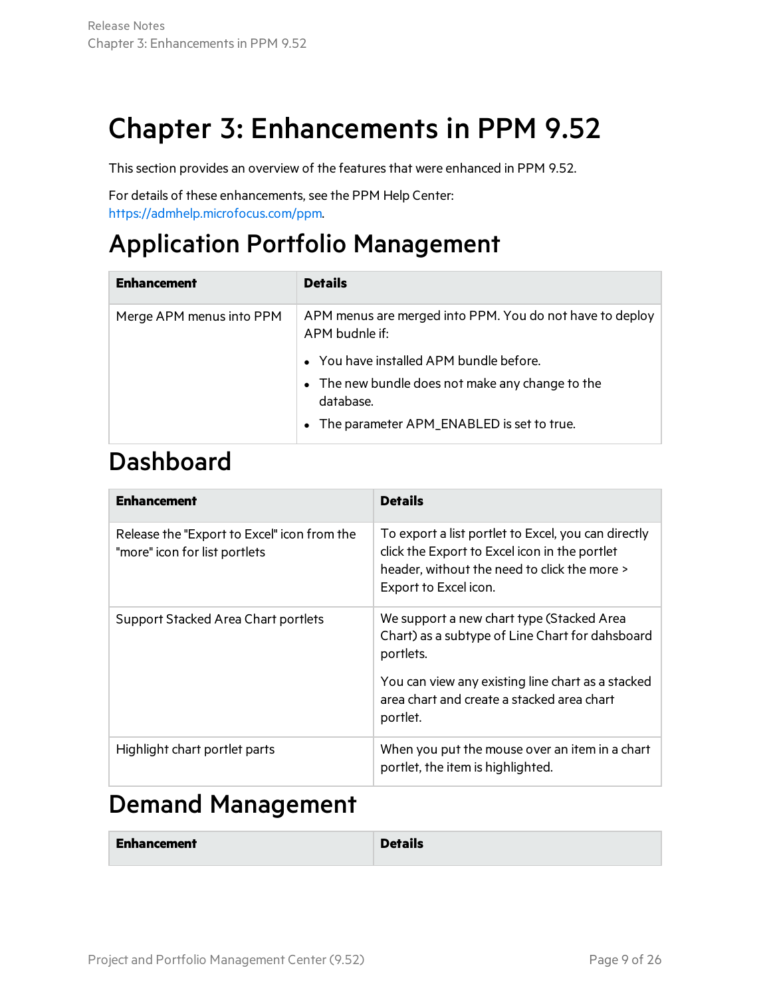## <span id="page-8-0"></span>Chapter 3: Enhancements in PPM 9.52

This section provides an overview of the features that were enhanced in PPM 9.52.

For details of these enhancements, see the PPM Help Center: [https://admhelp.microfocus.com/ppm.](https://admhelp.microfocus.com/ppm)

### <span id="page-8-1"></span>Application Portfolio Management

| <b>Enhancement</b>       | <b>Details</b>                                                             |
|--------------------------|----------------------------------------------------------------------------|
| Merge APM menus into PPM | APM menus are merged into PPM. You do not have to deploy<br>APM budnle if: |
|                          | • You have installed APM bundle before.                                    |
|                          | • The new bundle does not make any change to the<br>database.              |
|                          | The parameter APM_ENABLED is set to true.                                  |

### <span id="page-8-2"></span>Dashboard

| <b>Enhancement</b>                                                           | <b>Details</b>                                                                                                                                                                |
|------------------------------------------------------------------------------|-------------------------------------------------------------------------------------------------------------------------------------------------------------------------------|
| Release the "Export to Excel" icon from the<br>"more" icon for list portlets | To export a list portlet to Excel, you can directly<br>click the Export to Excel icon in the portlet<br>header, without the need to click the more ><br>Export to Excel icon. |
| Support Stacked Area Chart portlets                                          | We support a new chart type (Stacked Area<br>Chart) as a subtype of Line Chart for dahsboard<br>portlets.                                                                     |
|                                                                              | You can view any existing line chart as a stacked<br>area chart and create a stacked area chart<br>portlet.                                                                   |
| Highlight chart portlet parts                                                | When you put the mouse over an item in a chart<br>portlet, the item is highlighted.                                                                                           |

### <span id="page-8-3"></span>Demand Management

| <b>Enhancement</b> | <b>Details</b> |
|--------------------|----------------|
|                    |                |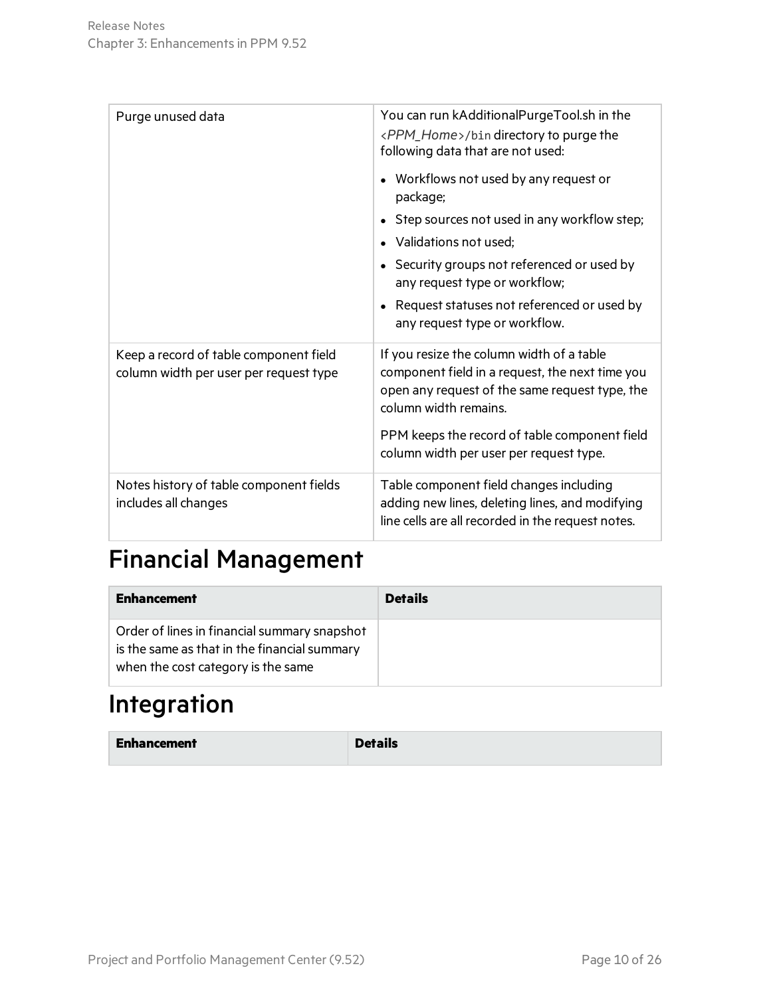| Purge unused data                                                                | You can run kAdditionalPurgeTool.sh in the<br><ppm_home>/bin directory to purge the<br/>following data that are not used:<br/>• Workflows not used by any request or<br/>package;<br/>• Step sources not used in any workflow step;<br/>• Validations not used;<br/>• Security groups not referenced or used by<br/>any request type or workflow;<br/>Request statuses not referenced or used by<br/>any request type or workflow.</ppm_home> |
|----------------------------------------------------------------------------------|-----------------------------------------------------------------------------------------------------------------------------------------------------------------------------------------------------------------------------------------------------------------------------------------------------------------------------------------------------------------------------------------------------------------------------------------------|
| Keep a record of table component field<br>column width per user per request type | If you resize the column width of a table<br>component field in a request, the next time you<br>open any request of the same request type, the<br>column width remains.<br>PPM keeps the record of table component field<br>column width per user per request type.                                                                                                                                                                           |
| Notes history of table component fields<br>includes all changes                  | Table component field changes including<br>adding new lines, deleting lines, and modifying<br>line cells are all recorded in the request notes.                                                                                                                                                                                                                                                                                               |

# <span id="page-9-0"></span>Financial Management

| <b>Enhancement</b>                                                                                                                 | <b>Details</b> |
|------------------------------------------------------------------------------------------------------------------------------------|----------------|
| Order of lines in financial summary snapshot<br>is the same as that in the financial summary<br>when the cost category is the same |                |

### <span id="page-9-1"></span>Integration

| <b>Enhancement</b> | <b>Details</b> |
|--------------------|----------------|
|                    |                |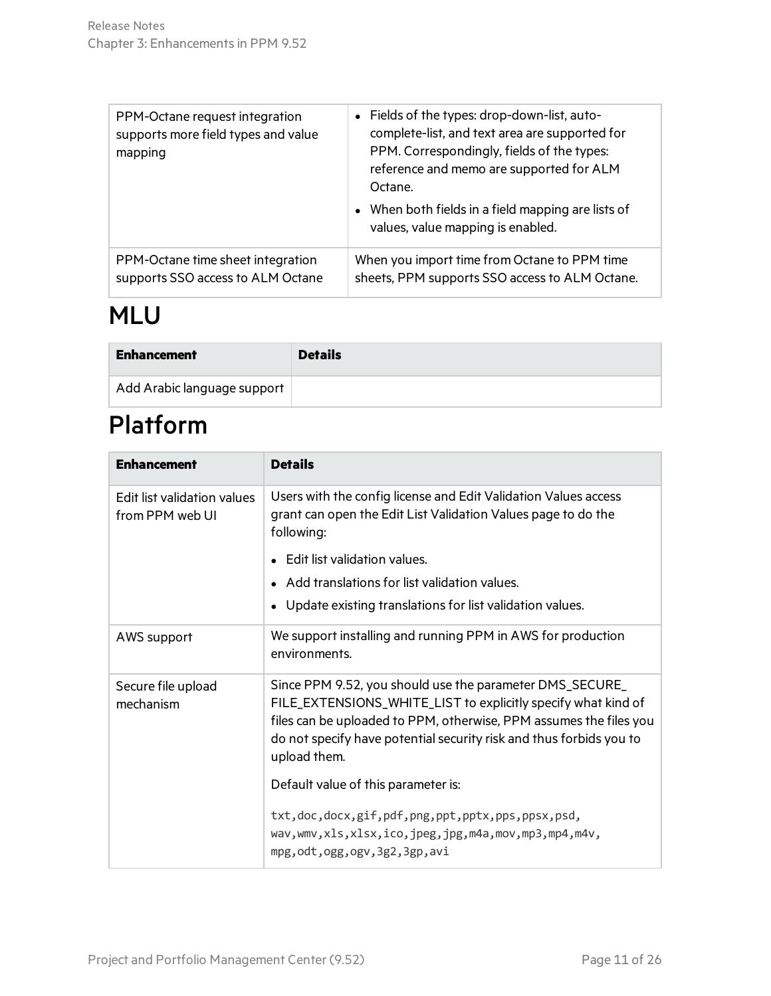| PPM-Octane request integration<br>supports more field types and value<br>mapping | • Fields of the types: drop-down-list, auto-<br>complete-list, and text area are supported for<br>PPM. Correspondingly, fields of the types:<br>reference and memo are supported for ALM<br>Octane.<br>• When both fields in a field mapping are lists of<br>values, value mapping is enabled. |
|----------------------------------------------------------------------------------|------------------------------------------------------------------------------------------------------------------------------------------------------------------------------------------------------------------------------------------------------------------------------------------------|
| PPM-Octane time sheet integration                                                | When you import time from Octane to PPM time                                                                                                                                                                                                                                                   |
| supports SSO access to ALM Octane                                                | sheets, PPM supports SSO access to ALM Octane.                                                                                                                                                                                                                                                 |

### <span id="page-10-0"></span>MLU

| <b>Enhancement</b>          | <b>Details</b> |
|-----------------------------|----------------|
| Add Arabic language support |                |

### <span id="page-10-1"></span>Platform

| <b>Enhancement</b>                             | <b>Details</b>                                                                                                                                                                                                                                                                         |
|------------------------------------------------|----------------------------------------------------------------------------------------------------------------------------------------------------------------------------------------------------------------------------------------------------------------------------------------|
| Edit list validation values<br>from PPM web UI | Users with the config license and Edit Validation Values access<br>grant can open the Edit List Validation Values page to do the<br>following:                                                                                                                                         |
|                                                | Edit list validation values.                                                                                                                                                                                                                                                           |
|                                                | Add translations for list validation values.                                                                                                                                                                                                                                           |
|                                                | Update existing translations for list validation values.<br>$\bullet$                                                                                                                                                                                                                  |
| AWS support                                    | We support installing and running PPM in AWS for production<br>environments.                                                                                                                                                                                                           |
| Secure file upload<br>mechanism                | Since PPM 9.52, you should use the parameter DMS_SECURE_<br>FILE_EXTENSIONS_WHITE_LIST to explicitly specify what kind of<br>files can be uploaded to PPM, otherwise, PPM assumes the files you<br>do not specify have potential security risk and thus forbids you to<br>upload them. |
|                                                | Default value of this parameter is:                                                                                                                                                                                                                                                    |
|                                                | txt,doc,docx,gif,pdf,png,ppt,pptx,pps,ppsx,psd,<br>wav,wmv,xls,xlsx,ico,jpeg,jpg,m4a,mov,mp3,mp4,m4v,<br>mpg, odt, ogg, ogv, 3g2, 3gp, avi                                                                                                                                             |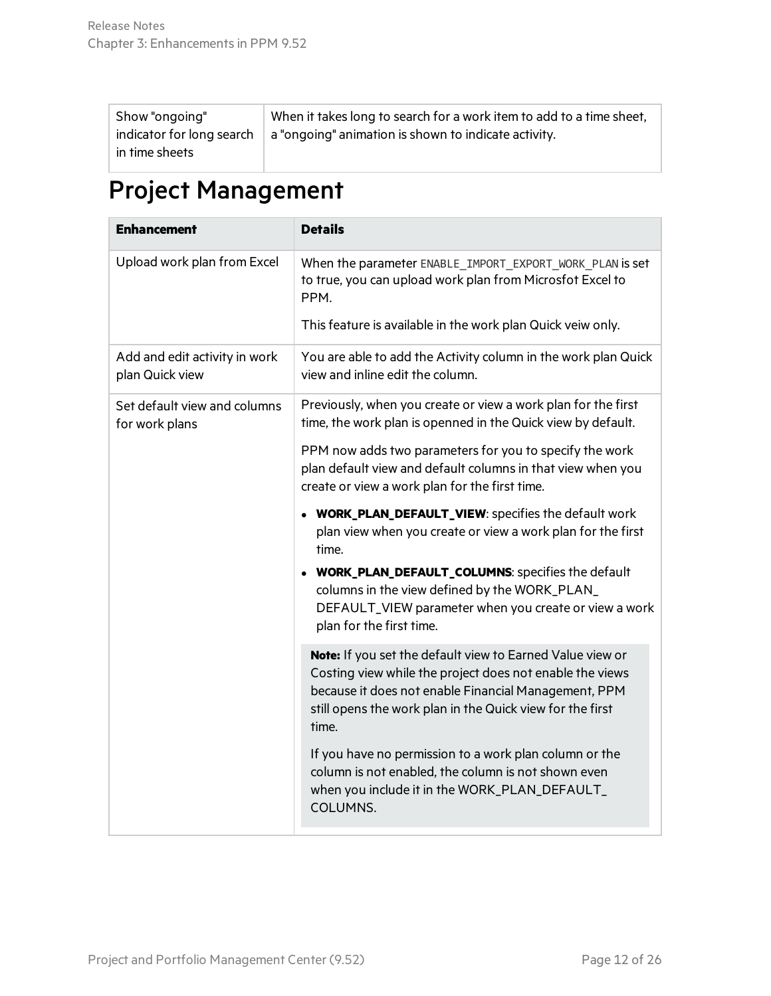| "Show "ongoing | When it takes long to search for a work item to add to a time sheet,                       |
|----------------|--------------------------------------------------------------------------------------------|
|                | indicator for long search $\parallel$ a "ongoing" animation is shown to indicate activity. |
| in time sheets |                                                                                            |

### <span id="page-11-0"></span>Project Management

| <b>Enhancement</b>                               | <b>Details</b>                                                                                                                                                                                                                                      |  |
|--------------------------------------------------|-----------------------------------------------------------------------------------------------------------------------------------------------------------------------------------------------------------------------------------------------------|--|
| Upload work plan from Excel                      | When the parameter ENABLE_IMPORT_EXPORT_WORK_PLAN is set<br>to true, you can upload work plan from Microsfot Excel to<br>PPM.                                                                                                                       |  |
|                                                  | This feature is available in the work plan Quick veiw only.                                                                                                                                                                                         |  |
| Add and edit activity in work<br>plan Quick view | You are able to add the Activity column in the work plan Quick<br>view and inline edit the column.                                                                                                                                                  |  |
| Set default view and columns<br>for work plans   | Previously, when you create or view a work plan for the first<br>time, the work plan is openned in the Quick view by default.                                                                                                                       |  |
|                                                  | PPM now adds two parameters for you to specify the work<br>plan default view and default columns in that view when you<br>create or view a work plan for the first time.                                                                            |  |
|                                                  | • WORK_PLAN_DEFAULT_VIEW: specifies the default work<br>plan view when you create or view a work plan for the first<br>time.                                                                                                                        |  |
|                                                  | • WORK_PLAN_DEFAULT_COLUMNS: specifies the default<br>columns in the view defined by the WORK_PLAN_<br>DEFAULT_VIEW parameter when you create or view a work<br>plan for the first time.                                                            |  |
|                                                  | Note: If you set the default view to Earned Value view or<br>Costing view while the project does not enable the views<br>because it does not enable Financial Management, PPM<br>still opens the work plan in the Quick view for the first<br>time. |  |
|                                                  | If you have no permission to a work plan column or the<br>column is not enabled, the column is not shown even<br>when you include it in the WORK_PLAN_DEFAULT_<br>COLUMNS.                                                                          |  |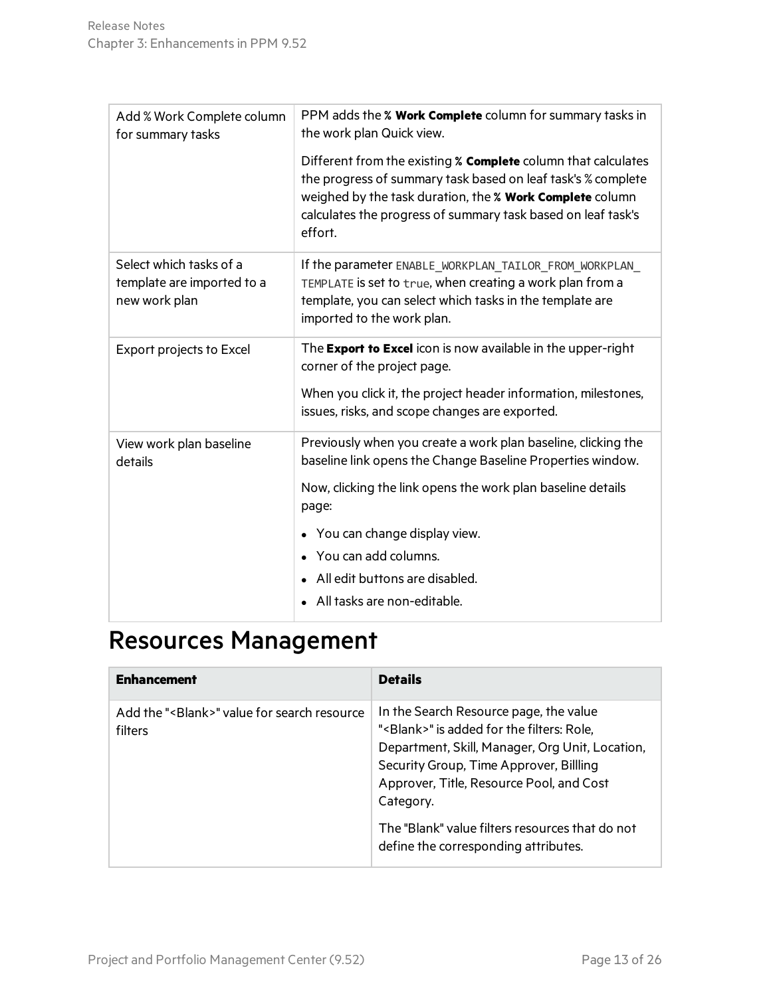| Add % Work Complete column<br>for summary tasks                        | PPM adds the % Work Complete column for summary tasks in<br>the work plan Quick view.                                                                                                                                                                                                                                            |
|------------------------------------------------------------------------|----------------------------------------------------------------------------------------------------------------------------------------------------------------------------------------------------------------------------------------------------------------------------------------------------------------------------------|
|                                                                        | Different from the existing % Complete column that calculates<br>the progress of summary task based on leaf task's % complete<br>weighed by the task duration, the % Work Complete column<br>calculates the progress of summary task based on leaf task's<br>effort.                                                             |
| Select which tasks of a<br>template are imported to a<br>new work plan | If the parameter ENABLE WORKPLAN TAILOR FROM WORKPLAN<br>TEMPLATE is set to true, when creating a work plan from a<br>template, you can select which tasks in the template are<br>imported to the work plan.                                                                                                                     |
| Export projects to Excel                                               | The Export to Excel icon is now available in the upper-right<br>corner of the project page.<br>When you click it, the project header information, milestones,<br>issues, risks, and scope changes are exported.                                                                                                                  |
| View work plan baseline<br>details                                     | Previously when you create a work plan baseline, clicking the<br>baseline link opens the Change Baseline Properties window.<br>Now, clicking the link opens the work plan baseline details<br>page:<br>• You can change display view.<br>• You can add columns.<br>All edit buttons are disabled.<br>All tasks are non-editable. |

## <span id="page-12-0"></span>Resources Management

| <b>Enhancement</b>                                               | <b>Details</b>                                                                                                                                                                                                                                                                                                                                       |
|------------------------------------------------------------------|------------------------------------------------------------------------------------------------------------------------------------------------------------------------------------------------------------------------------------------------------------------------------------------------------------------------------------------------------|
| Add the " <blank>" value for search resource<br/>filters</blank> | In the Search Resource page, the value<br>" <blank>" is added for the filters: Role,<br/>Department, Skill, Manager, Org Unit, Location,<br/>Security Group, Time Approver, Billling<br/>Approver, Title, Resource Pool, and Cost<br/>Category.<br/>The "Blank" value filters resources that do not<br/>define the corresponding attributes.</blank> |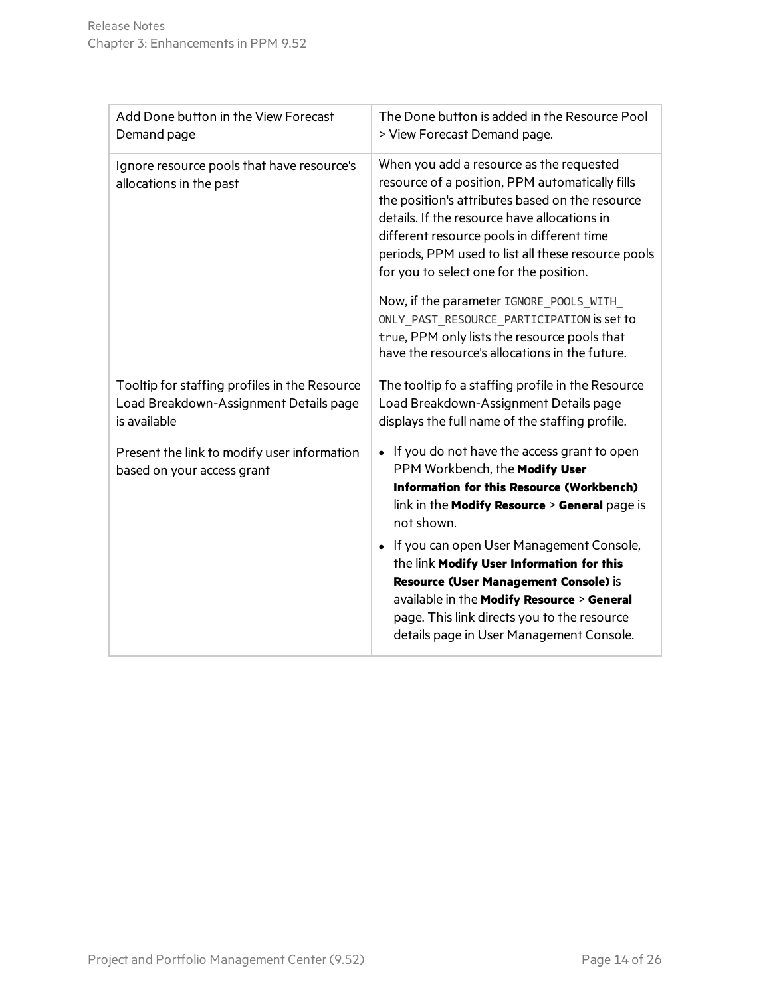| Add Done button in the View Forecast<br>Demand page                                                     | The Done button is added in the Resource Pool<br>> View Forecast Demand page.                                                                                                                                                                                                                                                                                                                                                                                                                                                             |
|---------------------------------------------------------------------------------------------------------|-------------------------------------------------------------------------------------------------------------------------------------------------------------------------------------------------------------------------------------------------------------------------------------------------------------------------------------------------------------------------------------------------------------------------------------------------------------------------------------------------------------------------------------------|
| Ignore resource pools that have resource's<br>allocations in the past                                   | When you add a resource as the requested<br>resource of a position, PPM automatically fills<br>the position's attributes based on the resource<br>details. If the resource have allocations in<br>different resource pools in different time<br>periods, PPM used to list all these resource pools<br>for you to select one for the position.<br>Now, if the parameter IGNORE_POOLS_WITH_<br>ONLY PAST RESOURCE PARTICIPATION is set to<br>true, PPM only lists the resource pools that<br>have the resource's allocations in the future. |
|                                                                                                         |                                                                                                                                                                                                                                                                                                                                                                                                                                                                                                                                           |
| Tooltip for staffing profiles in the Resource<br>Load Breakdown-Assignment Details page<br>is available | The tooltip fo a staffing profile in the Resource<br>Load Breakdown-Assignment Details page<br>displays the full name of the staffing profile.                                                                                                                                                                                                                                                                                                                                                                                            |
| Present the link to modify user information<br>based on your access grant                               | If you do not have the access grant to open<br>$\bullet$<br>PPM Workbench, the Modify User<br><b>Information for this Resource (Workbench)</b><br>link in the Modify Resource > General page is<br>not shown.<br>• If you can open User Management Console,<br>the link Modify User Information for this<br>Resource (User Management Console) is<br>available in the Modify Resource > General<br>page. This link directs you to the resource<br>details page in User Management Console.                                                |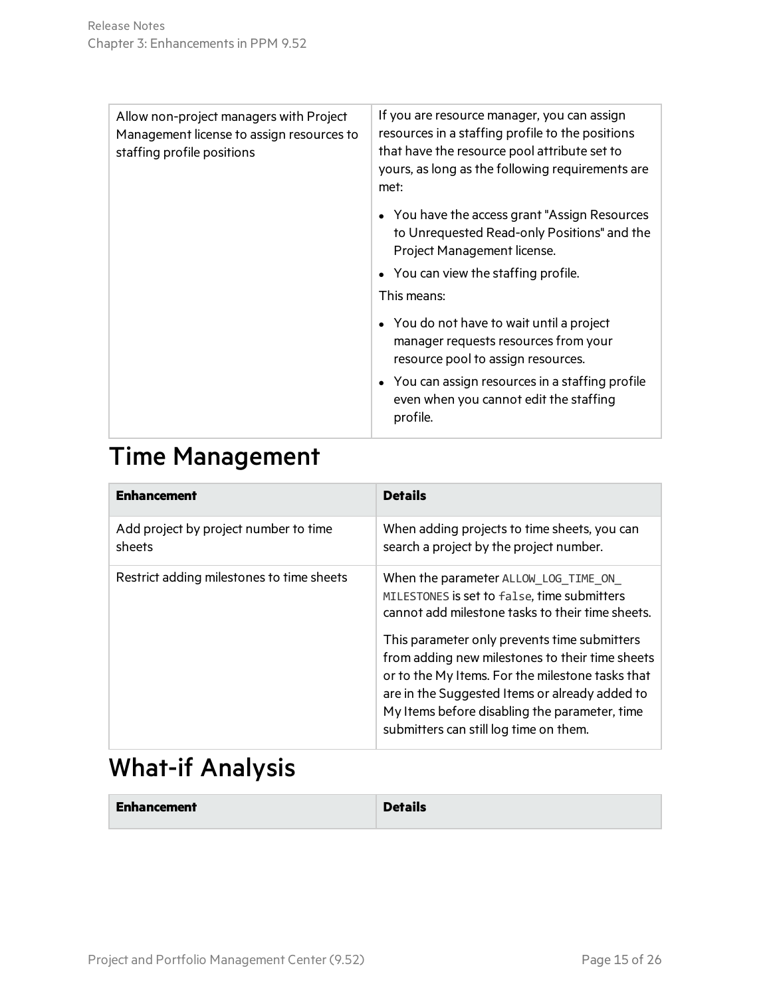| Allow non-project managers with Project<br>Management license to assign resources to<br>staffing profile positions | If you are resource manager, you can assign<br>resources in a staffing profile to the positions<br>that have the resource pool attribute set to<br>yours, as long as the following requirements are<br>met: |  |
|--------------------------------------------------------------------------------------------------------------------|-------------------------------------------------------------------------------------------------------------------------------------------------------------------------------------------------------------|--|
|                                                                                                                    | • You have the access grant "Assign Resources"<br>to Unrequested Read-only Positions" and the<br>Project Management license.                                                                                |  |
|                                                                                                                    | • You can view the staffing profile.                                                                                                                                                                        |  |
|                                                                                                                    | This means:                                                                                                                                                                                                 |  |
|                                                                                                                    | • You do not have to wait until a project<br>manager requests resources from your<br>resource pool to assign resources.                                                                                     |  |
|                                                                                                                    | • You can assign resources in a staffing profile<br>even when you cannot edit the staffing<br>profile.                                                                                                      |  |

### <span id="page-14-0"></span>Time Management

| <b>Enhancement</b>                              | <b>Details</b>                                                                                                                                                                                                                                                                                                                                                                                                                              |
|-------------------------------------------------|---------------------------------------------------------------------------------------------------------------------------------------------------------------------------------------------------------------------------------------------------------------------------------------------------------------------------------------------------------------------------------------------------------------------------------------------|
| Add project by project number to time<br>sheets | When adding projects to time sheets, you can<br>search a project by the project number.                                                                                                                                                                                                                                                                                                                                                     |
| Restrict adding milestones to time sheets       | When the parameter ALLOW LOG TIME ON<br>MILESTONES is set to false, time submitters<br>cannot add milestone tasks to their time sheets.<br>This parameter only prevents time submitters<br>from adding new milestones to their time sheets<br>or to the My Items. For the milestone tasks that<br>are in the Suggested Items or already added to<br>My Items before disabling the parameter, time<br>submitters can still log time on them. |

### What-if Analysis

| <b>Enhancement</b> | <b>Details</b> |
|--------------------|----------------|
|                    |                |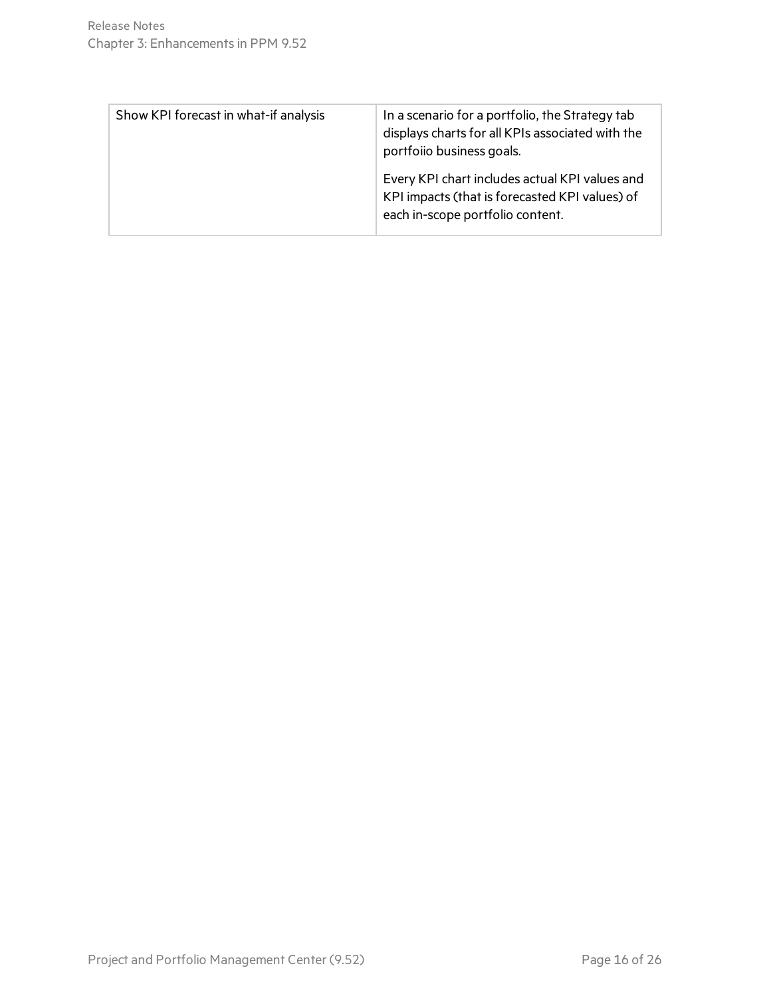| Show KPI forecast in what-if analysis | In a scenario for a portfolio, the Strategy tab<br>displays charts for all KPIs associated with the<br>portfoiio business goals.     |  |
|---------------------------------------|--------------------------------------------------------------------------------------------------------------------------------------|--|
|                                       | Every KPI chart includes actual KPI values and<br>KPI impacts (that is forecasted KPI values) of<br>each in-scope portfolio content. |  |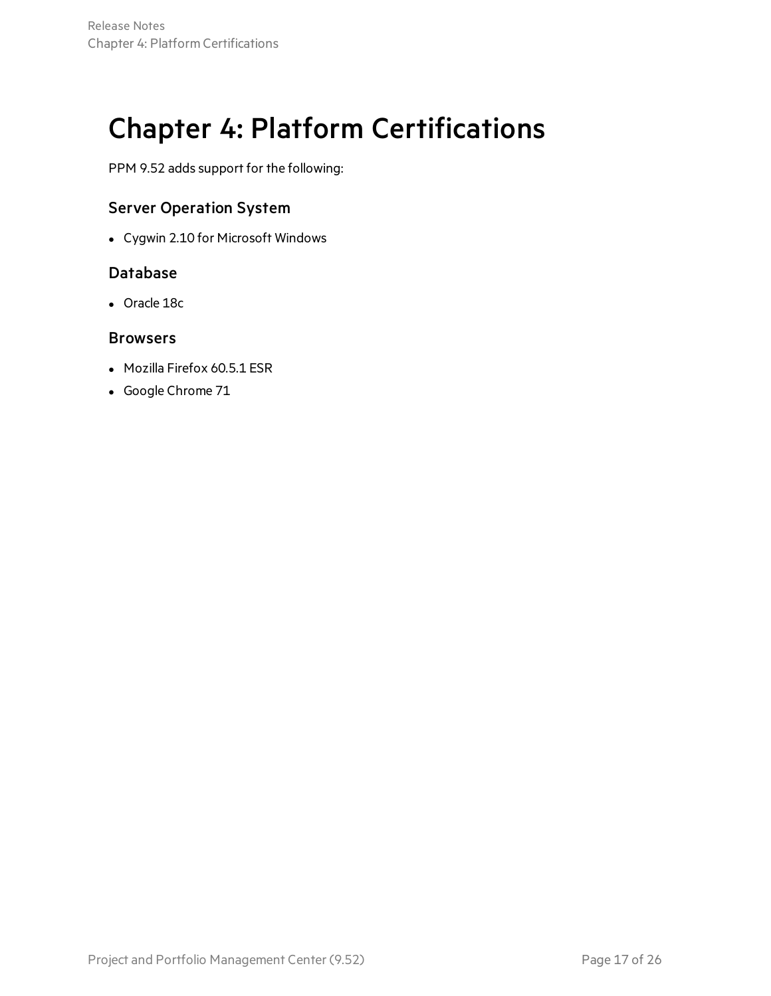# <span id="page-16-0"></span>Chapter 4: Platform Certifications

PPM 9.52 adds support for the following:

### Server Operation System

• Cygwin 2.10 for Microsoft Windows

### Database

• Oracle 18c

#### Browsers

- $\bullet$  Mozilla Firefox 60.5.1 ESR
- Google Chrome 71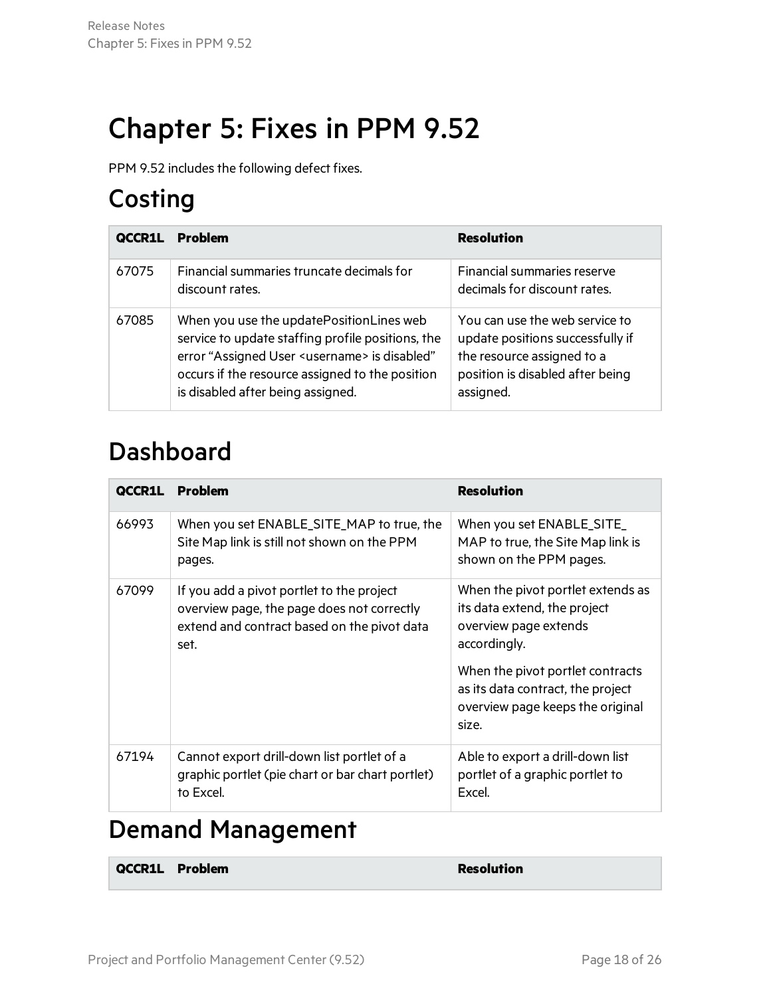# <span id="page-17-0"></span>Chapter 5: Fixes in PPM 9.52

PPM 9.52 includes the following defect fixes.

### **Costing**

| QCCR1L | <b>Problem</b>                                                                                                                                                                                                                                     | <b>Resolution</b>                                                                                                                                 |
|--------|----------------------------------------------------------------------------------------------------------------------------------------------------------------------------------------------------------------------------------------------------|---------------------------------------------------------------------------------------------------------------------------------------------------|
| 67075  | Financial summaries truncate decimals for<br>discount rates.                                                                                                                                                                                       | <b>Financial summaries reserve</b><br>decimals for discount rates.                                                                                |
| 67085  | When you use the updatePositionLines web<br>service to update staffing profile positions, the<br>error "Assigned User <username> is disabled"<br/>occurs if the resource assigned to the position<br/>is disabled after being assigned.</username> | You can use the web service to<br>update positions successfully if<br>the resource assigned to a<br>position is disabled after being<br>assigned. |

### Dashboard

| QCCR1L | <b>Problem</b>                                                                                                                                 | <b>Resolution</b>                                                                                                  |
|--------|------------------------------------------------------------------------------------------------------------------------------------------------|--------------------------------------------------------------------------------------------------------------------|
| 66993  | When you set ENABLE_SITE_MAP to true, the<br>Site Map link is still not shown on the PPM<br>pages.                                             | When you set ENABLE_SITE_<br>MAP to true, the Site Map link is<br>shown on the PPM pages.                          |
| 67099  | If you add a pivot portlet to the project<br>overview page, the page does not correctly<br>extend and contract based on the pivot data<br>set. | When the pivot portlet extends as<br>its data extend, the project<br>overview page extends<br>accordingly.         |
|        |                                                                                                                                                | When the pivot portlet contracts<br>as its data contract, the project<br>overview page keeps the original<br>size. |
| 67194  | Cannot export drill-down list portlet of a<br>graphic portlet (pie chart or bar chart portlet)<br>to Excel.                                    | Able to export a drill-down list<br>portlet of a graphic portlet to<br>Excel.                                      |

## Demand Management

| <b>QCCR1L Problem</b> | <b>Resolution</b> |
|-----------------------|-------------------|
|                       |                   |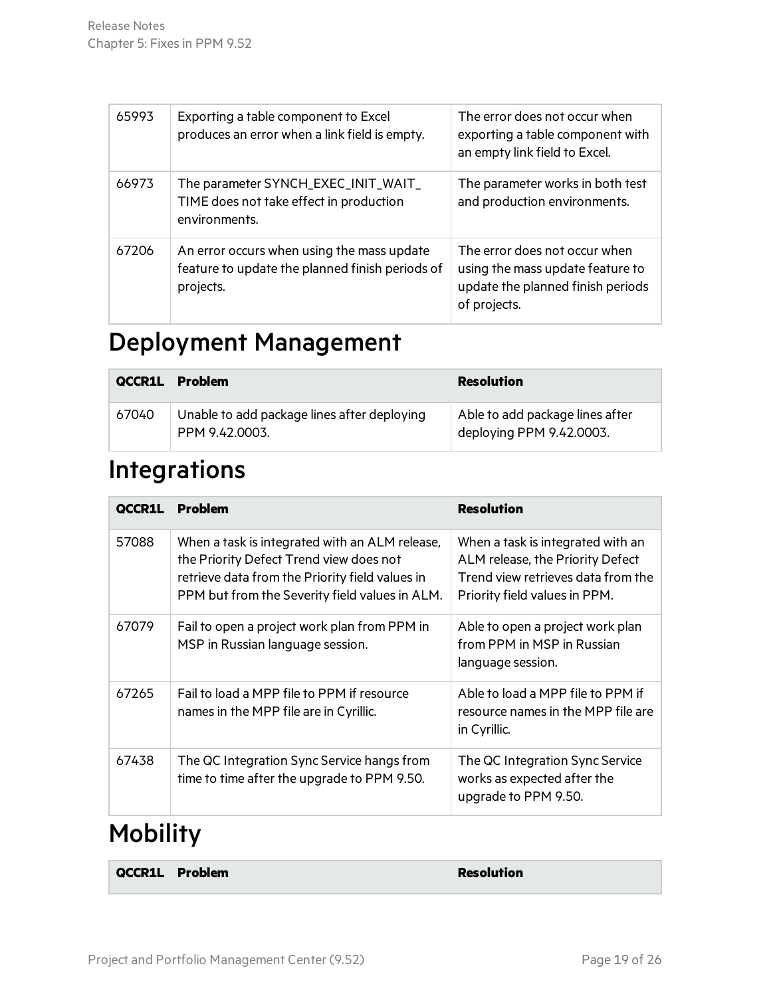| 65993 | Exporting a table component to Excel<br>produces an error when a link field is empty.                      | The error does not occur when<br>exporting a table component with<br>an empty link field to Excel.                     |
|-------|------------------------------------------------------------------------------------------------------------|------------------------------------------------------------------------------------------------------------------------|
| 66973 | The parameter SYNCH_EXEC_INIT_WAIT_<br>TIME does not take effect in production<br>environments.            | The parameter works in both test<br>and production environments.                                                       |
| 67206 | An error occurs when using the mass update<br>feature to update the planned finish periods of<br>projects. | The error does not occur when<br>using the mass update feature to<br>update the planned finish periods<br>of projects. |

### Deployment Management

| QCCR1L | Problem                                                       | <b>Resolution</b>                                           |
|--------|---------------------------------------------------------------|-------------------------------------------------------------|
| 67040  | Unable to add package lines after deploying<br>PPM 9.42.0003. | Able to add package lines after<br>deploying PPM 9.42.0003. |

### Integrations

| QCCR1L | <b>Problem</b>                                                                                                                                                                                 | <b>Resolution</b>                                                                                                                            |
|--------|------------------------------------------------------------------------------------------------------------------------------------------------------------------------------------------------|----------------------------------------------------------------------------------------------------------------------------------------------|
| 57088  | When a task is integrated with an ALM release,<br>the Priority Defect Trend view does not<br>retrieve data from the Priority field values in<br>PPM but from the Severity field values in ALM. | When a task is integrated with an<br>ALM release, the Priority Defect<br>Trend view retrieves data from the<br>Priority field values in PPM. |
| 67079  | Fail to open a project work plan from PPM in<br>MSP in Russian language session.                                                                                                               | Able to open a project work plan<br>from PPM in MSP in Russian<br>language session.                                                          |
| 67265  | Fail to load a MPP file to PPM if resource<br>names in the MPP file are in Cyrillic.                                                                                                           | Able to load a MPP file to PPM if<br>resource names in the MPP file are<br>in Cyrillic.                                                      |
| 67438  | The QC Integration Sync Service hangs from<br>time to time after the upgrade to PPM 9.50.                                                                                                      | The QC Integration Sync Service<br>works as expected after the<br>upgrade to PPM 9.50.                                                       |

### Mobility

| <b>QCCR1L Problem</b> | <b>Resolution</b> |
|-----------------------|-------------------|
|                       |                   |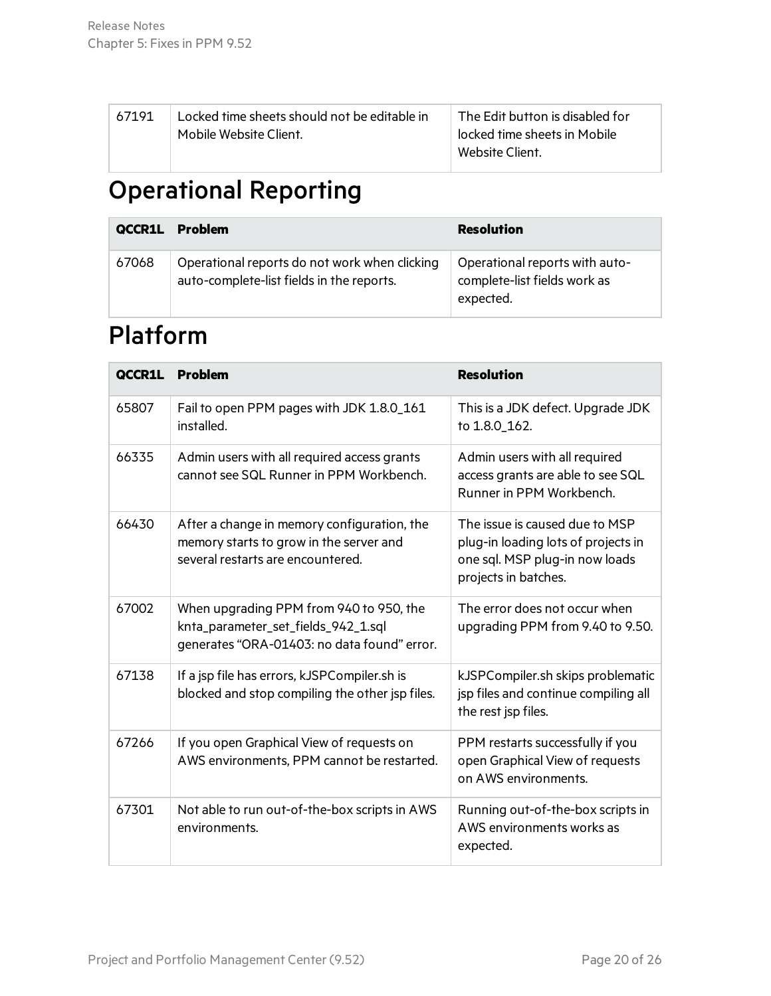| 67191 | Locked time sheets should not be editable in<br>Mobile Website Client. | The Edit button is disabled for<br>locked time sheets in Mobile<br>Website Client. |
|-------|------------------------------------------------------------------------|------------------------------------------------------------------------------------|
|-------|------------------------------------------------------------------------|------------------------------------------------------------------------------------|

## Operational Reporting

| QCCR1L | <b>Problem</b>                                                                             | <b>Resolution</b>                                                           |
|--------|--------------------------------------------------------------------------------------------|-----------------------------------------------------------------------------|
| 67068  | Operational reports do not work when clicking<br>auto-complete-list fields in the reports. | Operational reports with auto-<br>complete-list fields work as<br>expected. |

### Platform

| QCCR1L | <b>Problem</b>                                                                                                                | <b>Resolution</b>                                                                                                               |
|--------|-------------------------------------------------------------------------------------------------------------------------------|---------------------------------------------------------------------------------------------------------------------------------|
| 65807  | Fail to open PPM pages with JDK 1.8.0_161<br>installed.                                                                       | This is a JDK defect. Upgrade JDK<br>to 1.8.0_162.                                                                              |
| 66335  | Admin users with all required access grants<br>cannot see SQL Runner in PPM Workbench.                                        | Admin users with all required<br>access grants are able to see SQL<br>Runner in PPM Workbench.                                  |
| 66430  | After a change in memory configuration, the<br>memory starts to grow in the server and<br>several restarts are encountered.   | The issue is caused due to MSP<br>plug-in loading lots of projects in<br>one sql. MSP plug-in now loads<br>projects in batches. |
| 67002  | When upgrading PPM from 940 to 950, the<br>knta_parameter_set_fields_942_1.sql<br>generates "ORA-01403: no data found" error. | The error does not occur when<br>upgrading PPM from 9.40 to 9.50.                                                               |
| 67138  | If a jsp file has errors, kJSPCompiler.sh is<br>blocked and stop compiling the other jsp files.                               | kJSPCompiler.sh skips problematic<br>jsp files and continue compiling all<br>the rest jsp files.                                |
| 67266  | If you open Graphical View of requests on<br>AWS environments, PPM cannot be restarted.                                       | PPM restarts successfully if you<br>open Graphical View of requests<br>on AWS environments.                                     |
| 67301  | Not able to run out-of-the-box scripts in AWS<br>environments.                                                                | Running out-of-the-box scripts in<br>AWS environments works as<br>expected.                                                     |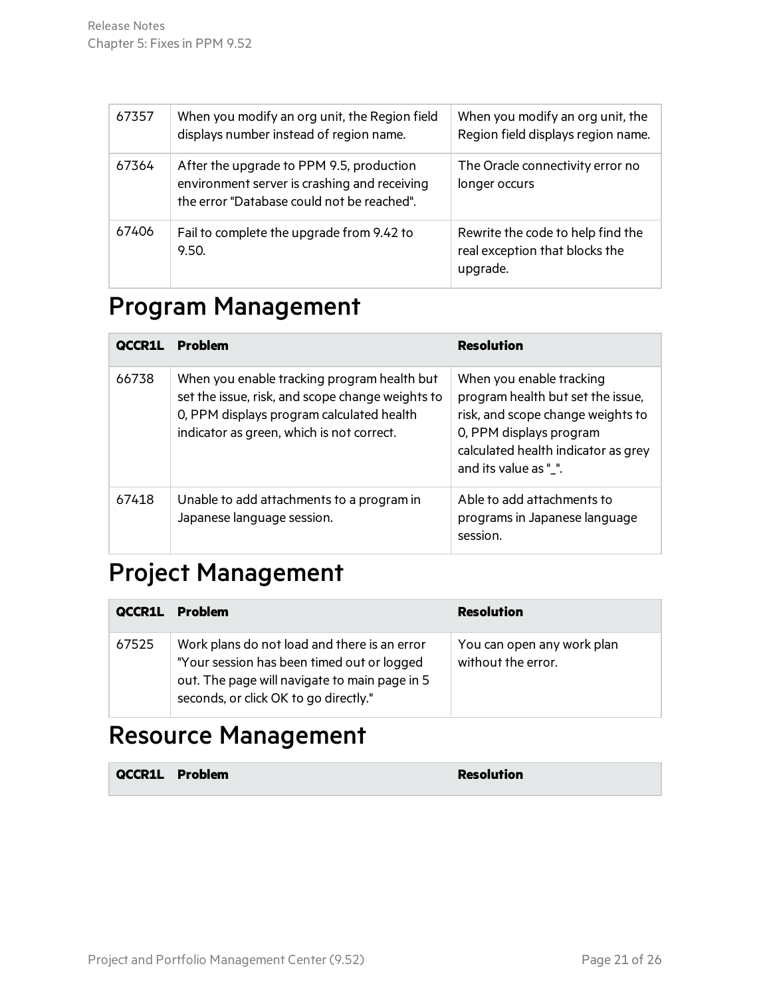| 67357 | When you modify an org unit, the Region field<br>displays number instead of region name.                                               | When you modify an org unit, the<br>Region field displays region name.          |
|-------|----------------------------------------------------------------------------------------------------------------------------------------|---------------------------------------------------------------------------------|
| 67364 | After the upgrade to PPM 9.5, production<br>environment server is crashing and receiving<br>the error "Database could not be reached". | The Oracle connectivity error no<br>longer occurs                               |
| 67406 | Fail to complete the upgrade from 9.42 to<br>9.50.                                                                                     | Rewrite the code to help find the<br>real exception that blocks the<br>upgrade. |

### Program Management

| <b>OCCR1L</b> | <b>Problem</b>                                                                                                                                                                            | <b>Resolution</b>                                                                                                                                                                             |
|---------------|-------------------------------------------------------------------------------------------------------------------------------------------------------------------------------------------|-----------------------------------------------------------------------------------------------------------------------------------------------------------------------------------------------|
| 66738         | When you enable tracking program health but<br>set the issue, risk, and scope change weights to<br>0, PPM displays program calculated health<br>indicator as green, which is not correct. | When you enable tracking<br>program health but set the issue,<br>risk, and scope change weights to<br>0, PPM displays program<br>calculated health indicator as grey<br>and its value as "_". |
| 67418         | Unable to add attachments to a program in<br>Japanese language session.                                                                                                                   | Able to add attachments to<br>programs in Japanese language<br>session.                                                                                                                       |

## Project Management

| QCCR1L | Problem                                                                                                                                                                              | <b>Resolution</b>                                |
|--------|--------------------------------------------------------------------------------------------------------------------------------------------------------------------------------------|--------------------------------------------------|
| 67525  | Work plans do not load and there is an error<br>"Your session has been timed out or logged<br>out. The page will navigate to main page in 5<br>seconds, or click OK to go directly." | You can open any work plan<br>without the error. |

### Resource Management

| <b>Resolution</b><br><b>QCCR1L Problem</b> |
|--------------------------------------------|
|--------------------------------------------|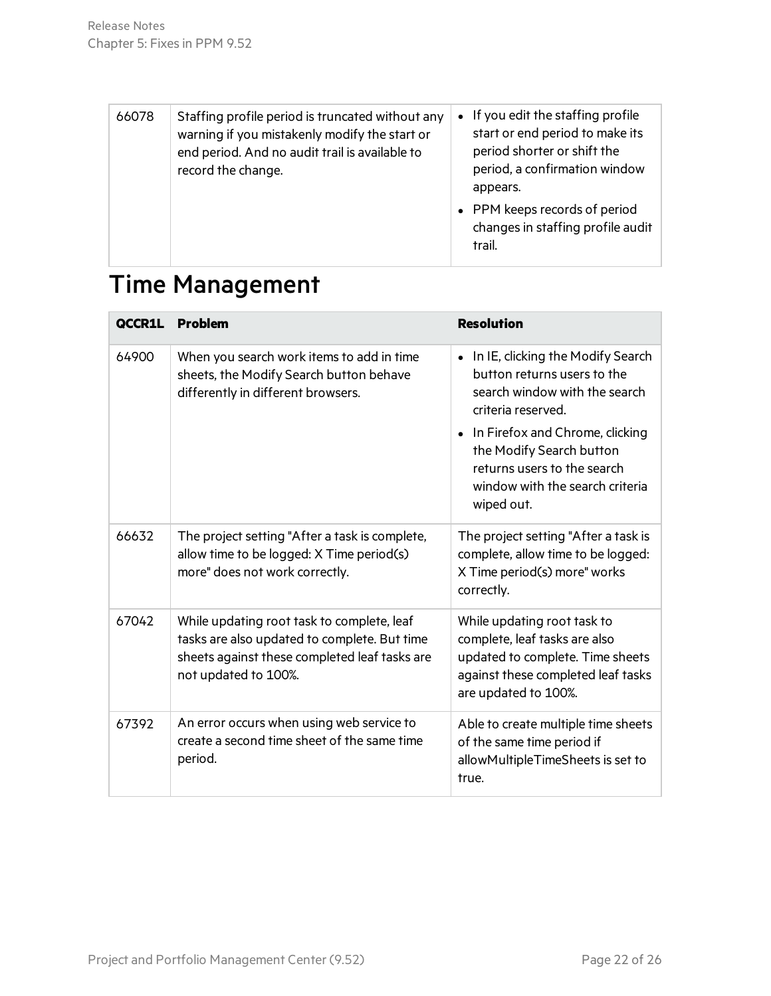| • If you edit the staffing profile<br>Staffing profile period is truncated without any<br>66078                                                                                                             |  |                                                                                                       |
|-------------------------------------------------------------------------------------------------------------------------------------------------------------------------------------------------------------|--|-------------------------------------------------------------------------------------------------------|
| warning if you mistakenly modify the start or<br>period shorter or shift the<br>end period. And no audit trail is available to<br>record the change.<br>appears.<br>• PPM keeps records of period<br>trail. |  | start or end period to make its<br>period, a confirmation window<br>changes in staffing profile audit |

### Time Management

| <b>OCCR1L</b> | <b>Problem</b>                                                                                                                                                      | <b>Resolution</b>                                                                                                                                              |
|---------------|---------------------------------------------------------------------------------------------------------------------------------------------------------------------|----------------------------------------------------------------------------------------------------------------------------------------------------------------|
| 64900         | When you search work items to add in time<br>sheets, the Modify Search button behave<br>differently in different browsers.                                          | In IE, clicking the Modify Search<br>$\bullet$<br>button returns users to the<br>search window with the search<br>criteria reserved.                           |
|               |                                                                                                                                                                     | • In Firefox and Chrome, clicking<br>the Modify Search button<br>returns users to the search<br>window with the search criteria<br>wiped out.                  |
| 66632         | The project setting "After a task is complete,<br>allow time to be logged: X Time period(s)<br>more" does not work correctly.                                       | The project setting "After a task is<br>complete, allow time to be logged:<br>X Time period(s) more" works<br>correctly.                                       |
| 67042         | While updating root task to complete, leaf<br>tasks are also updated to complete. But time<br>sheets against these completed leaf tasks are<br>not updated to 100%. | While updating root task to<br>complete, leaf tasks are also<br>updated to complete. Time sheets<br>against these completed leaf tasks<br>are updated to 100%. |
| 67392         | An error occurs when using web service to<br>create a second time sheet of the same time<br>period.                                                                 | Able to create multiple time sheets<br>of the same time period if<br>allowMultipleTimeSheets is set to<br>true.                                                |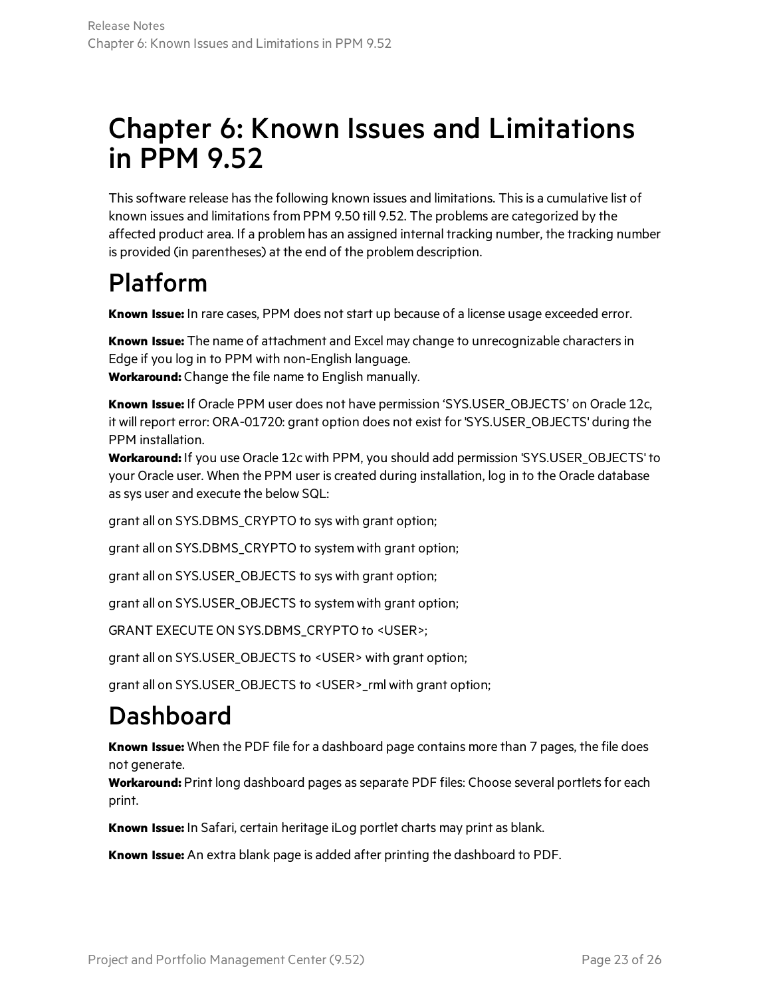## <span id="page-22-0"></span>Chapter 6: Known Issues and Limitations in PPM 9.52

This software release has the following known issues and limitations. This is a cumulative list of known issues and limitations from PPM 9.50 till 9.52. The problems are categorized by the affected product area. If a problem has an assigned internal tracking number, the tracking number is provided (in parentheses) at the end of the problem description.

## <span id="page-22-1"></span>Platform

**Known Issue:** In rare cases, PPM does not start up because of a license usage exceeded error.

**Known Issue:** The name of attachment and Excel may change to unrecognizable charactersin Edge if you log in to PPM with non-English language. **Workaround:** Change the file name to English manually.

**Known Issue:** If Oracle PPM user does not have permission 'SYS.USER\_OBJECTS' on Oracle 12c, it will report error: ORA-01720: grant option does not exist for 'SYS.USER\_OBJECTS' during the PPM installation.

**Workaround:** If you use Oracle 12c with PPM, you should add permission 'SYS.USER\_OBJECTS' to your Oracle user. When the PPM user is created during installation, log in to the Oracle database as sys user and execute the below SQL:

grant all on SYS.DBMS\_CRYPTO to sys with grant option;

grant all on SYS.DBMS\_CRYPTO to system with grant option;

grant all on SYS.USER\_OBJECTS to sys with grant option;

grant all on SYS.USER\_OBJECTS to system with grant option;

GRANT EXECUTE ON SYS.DBMS\_CRYPTO to <USER>;

grant all on SYS.USER\_OBJECTS to <USER> with grant option;

<span id="page-22-2"></span>grant all on SYS.USER\_OBJECTS to <USER>\_rml with grant option;

### Dashboard

**Known Issue:** When the PDF file for a dashboard page contains more than 7 pages, the file does not generate.

Workaround: Print long dashboard pages as separate PDF files: Choose several portlets for each print.

**Known Issue:** In Safari, certain heritage iLog portlet charts may print as blank.

**Known Issue:** An extra blank page is added after printing the dashboard to PDF.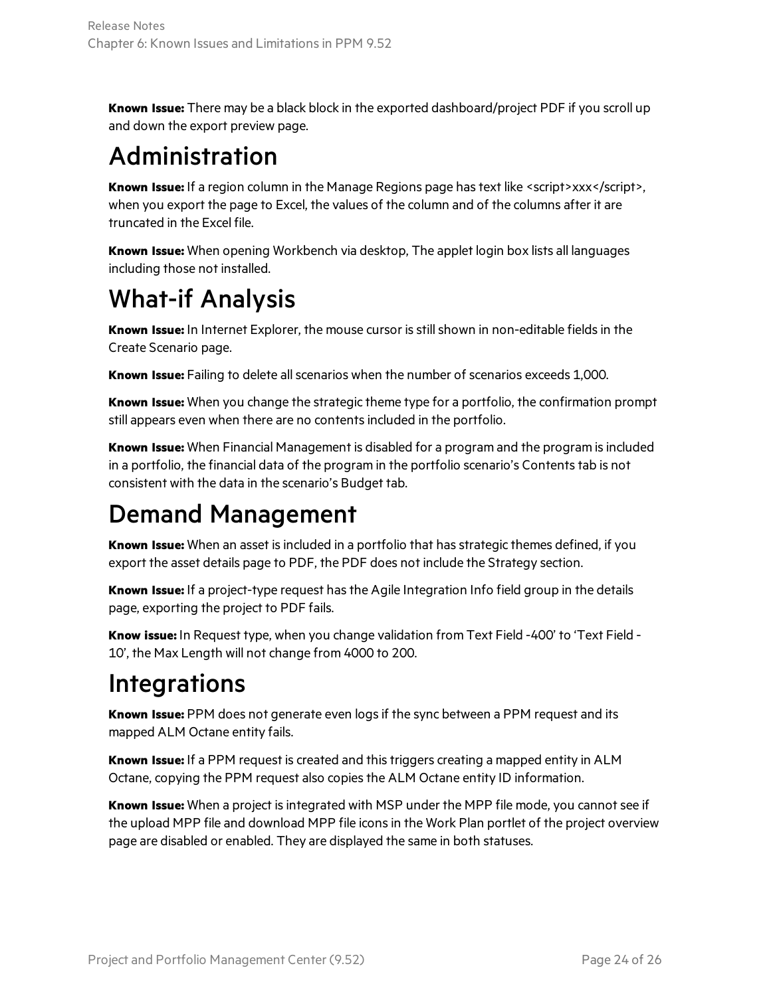**Known Issue:** There may be a black block in the exported dashboard/project PDF if you scroll up and down the export preview page.

## <span id="page-23-0"></span>Administration

**Known Issue:** If a region column in the Manage Regions page has text like <script>xxx</script>, when you export the page to Excel, the values of the column and of the columns after it are truncated in the Excel file.

**Known Issue:** When opening Workbench via desktop, The applet login box lists all languages including those not installed.

## <span id="page-23-1"></span>What-if Analysis

**Known Issue:** In Internet Explorer, the mouse cursor is still shown in non-editable fields in the Create Scenario page.

**Known Issue:** Failing to delete all scenarios when the number of scenarios exceeds 1,000.

**Known Issue:** When you change the strategic theme type for a portfolio, the confirmation prompt still appears even when there are no contentsincluded in the portfolio.

**Known Issue:** When Financial Management is disabled for a program and the program isincluded in a portfolio, the financial data of the program in the portfolio scenario's Contentstab is not consistent with the data in the scenario's Budget tab.

### <span id="page-23-2"></span>Demand Management

**Known Issue:** When an asset isincluded in a portfolio that hasstrategic themes defined, if you export the asset details page to PDF, the PDF does not include the Strategy section.

**Known Issue:** If a project-type request has the Agile Integration Info field group in the details page, exporting the project to PDF fails.

**Know issue:** In Request type, when you change validation from Text Field -400' to 'Text Field - 10', the Max Length will not change from 4000 to 200.

### <span id="page-23-3"></span>**Integrations**

**Known Issue:** PPM does not generate even logsif the sync between a PPM request and its mapped ALM Octane entity fails.

**Known Issue:** If a PPM request is created and this triggers creating a mapped entity in ALM Octane, copying the PPM request also copiesthe ALM Octane entity ID information.

**Known Issue:** When a project is integrated with MSP under the MPP file mode, you cannot see if the upload MPP file and download MPP file icons in the Work Plan portlet of the project overview page are disabled or enabled. They are displayed the same in both statuses.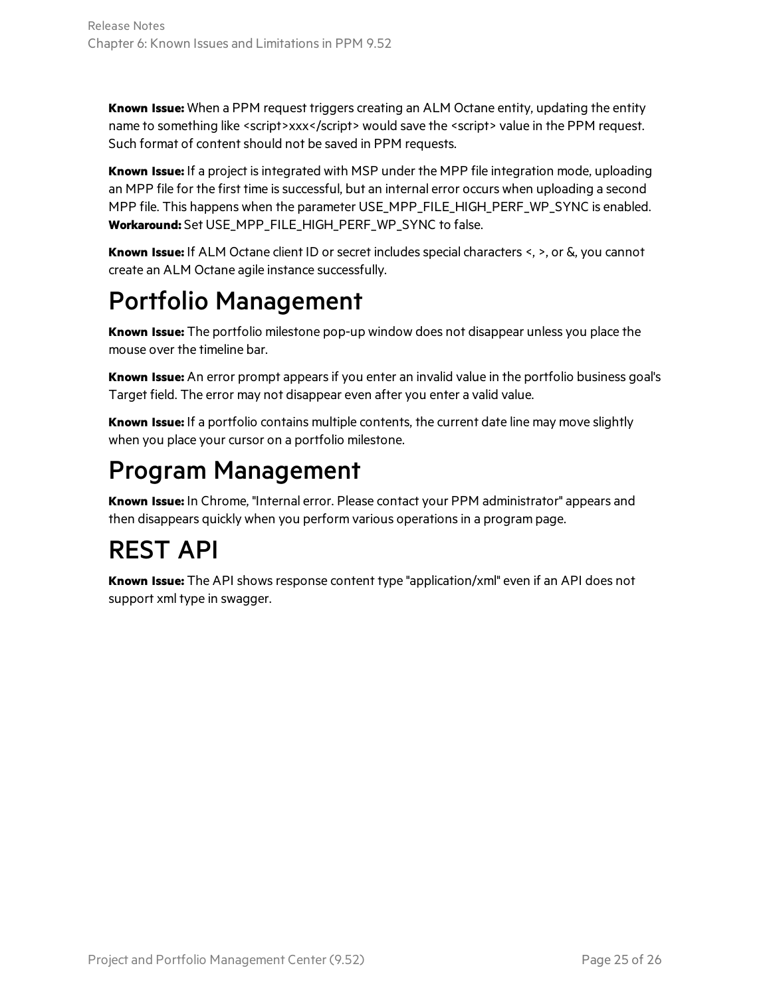**Known Issue:** When a PPM request triggers creating an ALM Octane entity, updating the entity name to something like <script>xxx</script> would save the <script> value in the PPM request. Such format of content should not be saved in PPM requests.

**Known Issue:** If a project isintegrated with MSP under the MPP file integration mode, uploading an MPP file for the first time is successful, but an internal error occurs when uploading a second MPP file. This happens when the parameter USE\_MPP\_FILE\_HIGH\_PERF\_WP\_SYNC is enabled. **Workaround:** Set USE\_MPP\_FILE\_HIGH\_PERF\_WP\_SYNC to false.

**Known Issue:** If ALM Octane client ID or secret includes special characters <, >, or &, you cannot create an ALM Octane agile instance successfully.

### <span id="page-24-0"></span>Portfolio Management

**Known Issue:** The portfolio milestone pop-up window does not disappear unless you place the mouse over the timeline bar.

**Known Issue:** An error prompt appearsif you enter an invalid value in the portfolio business goal's Target field. The error may not disappear even after you enter a valid value.

**Known Issue:** If a portfolio contains multiple contents, the current date line may move slightly when you place your cursor on a portfolio milestone.

### <span id="page-24-1"></span>Program Management

**Known Issue:** In Chrome, "Internal error. Please contact your PPM administrator" appears and then disappears quickly when you perform various operationsin a program page.

## <span id="page-24-2"></span>REST API

**Known Issue:** The API shows response content type "application/xml" even if an API does not support xml type in swagger.